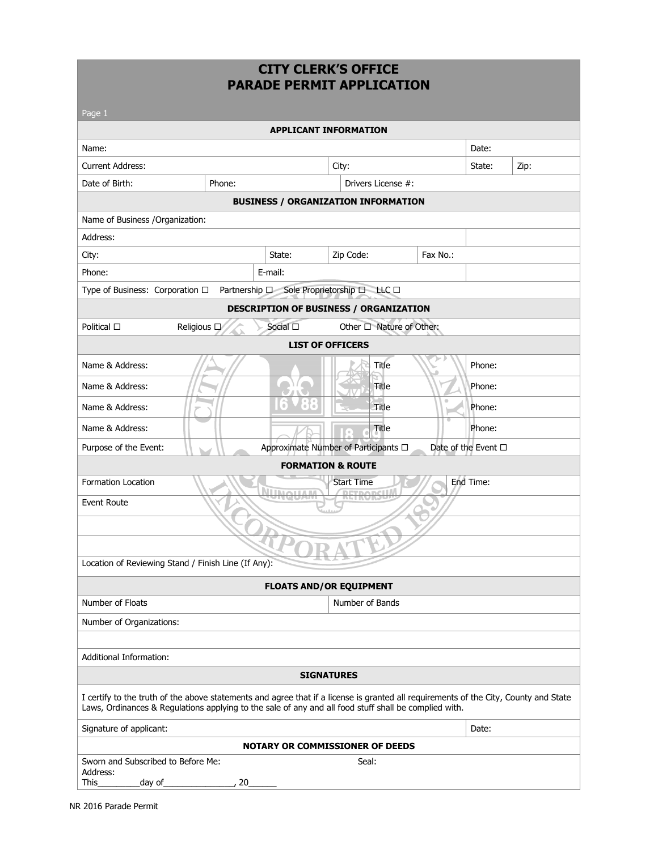### **CITY CLERK'S OFFICE PARADE PERMIT APPLICATION**

| Page 1                                                                                                                                                                                                                                        |                       |                                      |           |                     |      |  |
|-----------------------------------------------------------------------------------------------------------------------------------------------------------------------------------------------------------------------------------------------|-----------------------|--------------------------------------|-----------|---------------------|------|--|
|                                                                                                                                                                                                                                               |                       | <b>APPLICANT INFORMATION</b>         |           |                     |      |  |
| Name:                                                                                                                                                                                                                                         |                       |                                      |           | Date:               |      |  |
| <b>Current Address:</b>                                                                                                                                                                                                                       |                       | City:                                |           | State:              | Zip: |  |
| Date of Birth:<br>Phone:                                                                                                                                                                                                                      |                       | Drivers License #:                   |           |                     |      |  |
| <b>BUSINESS / ORGANIZATION INFORMATION</b>                                                                                                                                                                                                    |                       |                                      |           |                     |      |  |
| Name of Business / Organization:                                                                                                                                                                                                              |                       |                                      |           |                     |      |  |
| Address:                                                                                                                                                                                                                                      |                       |                                      |           |                     |      |  |
| City:                                                                                                                                                                                                                                         | State:                | Zip Code:                            | Fax No.:  |                     |      |  |
| Phone:                                                                                                                                                                                                                                        | E-mail:               |                                      |           |                     |      |  |
| Type of Business: Corporation $\Box$ Partnership $\Box$ Sole Proprietorship $\Box$ LLC $\Box$                                                                                                                                                 |                       |                                      |           |                     |      |  |
| <b>DESCRIPTION OF BUSINESS / ORGANIZATION</b>                                                                                                                                                                                                 |                       |                                      |           |                     |      |  |
| Political $\square$<br>Religious D                                                                                                                                                                                                            | Social <sub>[1]</sub> | Other □ Nature of Other:             |           |                     |      |  |
|                                                                                                                                                                                                                                               |                       | <b>LIST OF OFFICERS</b>              |           |                     |      |  |
| Name & Address:                                                                                                                                                                                                                               |                       | Title                                |           | Phone:              |      |  |
| Name & Address:                                                                                                                                                                                                                               |                       | Title                                |           | Phone:              |      |  |
| Name & Address:                                                                                                                                                                                                                               |                       | Title                                | $\bullet$ | Phone:              |      |  |
| Name & Address:                                                                                                                                                                                                                               |                       | Title<br>$\scriptstyle\odot$         |           | Phone:              |      |  |
| Purpose of the Event:                                                                                                                                                                                                                         |                       | Approximate Number of Participants □ |           | Date of the Event □ |      |  |
|                                                                                                                                                                                                                                               |                       | <b>FORMATION &amp; ROUTE</b>         |           |                     |      |  |
| <b>Formation Location</b><br><b>Start Time</b><br>End Time:<br>Event Route                                                                                                                                                                    |                       |                                      |           |                     |      |  |
|                                                                                                                                                                                                                                               |                       |                                      |           |                     |      |  |
|                                                                                                                                                                                                                                               |                       |                                      |           |                     |      |  |
| Location of Reviewing Stand / Finish Line (If Any):                                                                                                                                                                                           |                       |                                      |           |                     |      |  |
| <b>FLOATS AND/OR EQUIPMENT</b>                                                                                                                                                                                                                |                       |                                      |           |                     |      |  |
| Number of Floats                                                                                                                                                                                                                              |                       | Number of Bands                      |           |                     |      |  |
| Number of Organizations:                                                                                                                                                                                                                      |                       |                                      |           |                     |      |  |
|                                                                                                                                                                                                                                               |                       |                                      |           |                     |      |  |
| Additional Information:                                                                                                                                                                                                                       |                       |                                      |           |                     |      |  |
|                                                                                                                                                                                                                                               |                       | <b>SIGNATURES</b>                    |           |                     |      |  |
| I certify to the truth of the above statements and agree that if a license is granted all requirements of the City, County and State<br>Laws, Ordinances & Regulations applying to the sale of any and all food stuff shall be complied with. |                       |                                      |           |                     |      |  |
| Signature of applicant:                                                                                                                                                                                                                       |                       |                                      |           | Date:               |      |  |
| <b>NOTARY OR COMMISSIONER OF DEEDS</b>                                                                                                                                                                                                        |                       |                                      |           |                     |      |  |
| Sworn and Subscribed to Before Me:<br>Address:<br>This<br>20<br>_day of_                                                                                                                                                                      |                       | Seal:                                |           |                     |      |  |